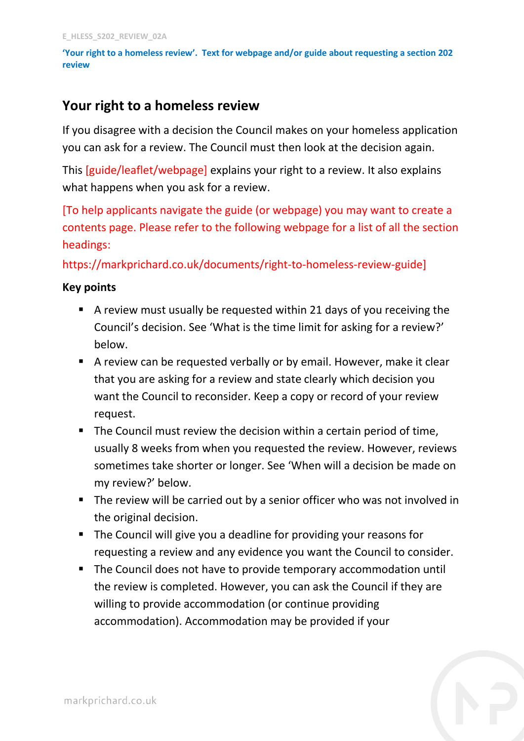**'Your right to a homeless review'. Text for webpage and/or guide about requesting a section 202 review**

# **Your right to a homeless review**

If you disagree with a decision the Council makes on your homeless application you can ask for a review. The Council must then look at the decision again.

This [guide/leaflet/webpage] explains your right to a review. It also explains what happens when you ask for a review.

[To help applicants navigate the guide (or webpage) you may want to create a contents page. Please refer to the following webpage for a list of all the section headings:

https://markprichard.co.uk/documents/right-to-homeless-review-guide]

### **Key points**

- A review must usually be requested within 21 days of you receiving the Council's decision. See 'What is the time limit for asking for a review?' below.
- A review can be requested verbally or by email. However, make it clear that you are asking for a review and state clearly which decision you want the Council to reconsider. Keep a copy or record of your review request.
- The Council must review the decision within a certain period of time, usually 8 weeks from when you requested the review. However, reviews sometimes take shorter or longer. See 'When will a decision be made on my review?' below.
- The review will be carried out by a senior officer who was not involved in the original decision.
- The Council will give you a deadline for providing your reasons for requesting a review and any evidence you want the Council to consider.
- The Council does not have to provide temporary accommodation until the review is completed. However, you can ask the Council if they are willing to provide accommodation (or continue providing accommodation). Accommodation may be provided if your

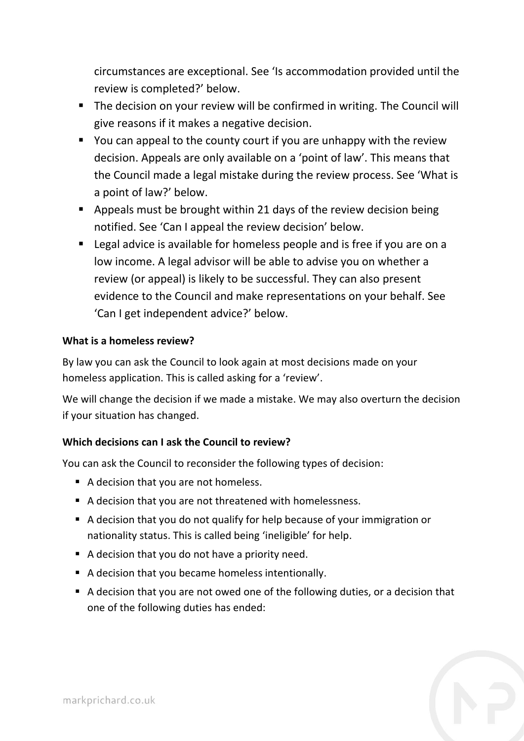circumstances are exceptional. See 'Is accommodation provided until the review is completed?' below.

- The decision on your review will be confirmed in writing. The Council will give reasons if it makes a negative decision.
- You can appeal to the county court if you are unhappy with the review decision. Appeals are only available on a 'point of law'. This means that the Council made a legal mistake during the review process. See 'What is a point of law?' below.
- Appeals must be brought within 21 days of the review decision being notified. See 'Can I appeal the review decision' below.
- Legal advice is available for homeless people and is free if you are on a low income. A legal advisor will be able to advise you on whether a review (or appeal) is likely to be successful. They can also present evidence to the Council and make representations on your behalf. See 'Can I get independent advice?' below.

### **What is a homeless review?**

By law you can ask the Council to look again at most decisions made on your homeless application. This is called asking for a 'review'.

We will change the decision if we made a mistake. We may also overturn the decision if your situation has changed.

### **Which decisions can I ask the Council to review?**

You can ask the Council to reconsider the following types of decision:

- A decision that you are not homeless.
- A decision that you are not threatened with homelessness.
- A decision that you do not qualify for help because of your immigration or nationality status. This is called being 'ineligible' for help.
- A decision that you do not have a priority need.
- A decision that you became homeless intentionally.
- A decision that you are not owed one of the following duties, or a decision that one of the following duties has ended: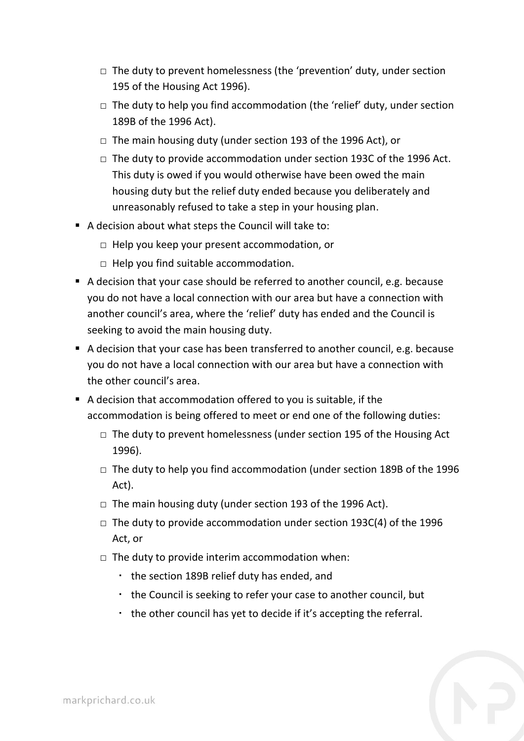- $\Box$  The duty to prevent homelessness (the 'prevention' duty, under section 195 of the Housing Act 1996).
- $\Box$  The duty to help you find accommodation (the 'relief' duty, under section 189B of the 1996 Act).
- □ The main housing duty (under section 193 of the 1996 Act), or
- $\Box$  The duty to provide accommodation under section 193C of the 1996 Act. This duty is owed if you would otherwise have been owed the main housing duty but the relief duty ended because you deliberately and unreasonably refused to take a step in your housing plan.
- A decision about what steps the Council will take to:
	- □ Help you keep your present accommodation, or
	- $\Box$  Help you find suitable accommodation.
- A decision that your case should be referred to another council, e.g. because you do not have a local connection with our area but have a connection with another council's area, where the 'relief' duty has ended and the Council is seeking to avoid the main housing duty.
- A decision that your case has been transferred to another council, e.g. because you do not have a local connection with our area but have a connection with the other council's area.
- A decision that accommodation offered to you is suitable, if the accommodation is being offered to meet or end one of the following duties:
	- $\Box$  The duty to prevent homelessness (under section 195 of the Housing Act 1996).
	- $\Box$  The duty to help you find accommodation (under section 189B of the 1996 Act).
	- □ The main housing duty (under section 193 of the 1996 Act).
	- □ The duty to provide accommodation under section 193C(4) of the 1996 Act, or
	- $\Box$  The duty to provide interim accommodation when:
		- the section 189B relief duty has ended, and
		- the Council is seeking to refer your case to another council, but
		- the other council has yet to decide if it's accepting the referral.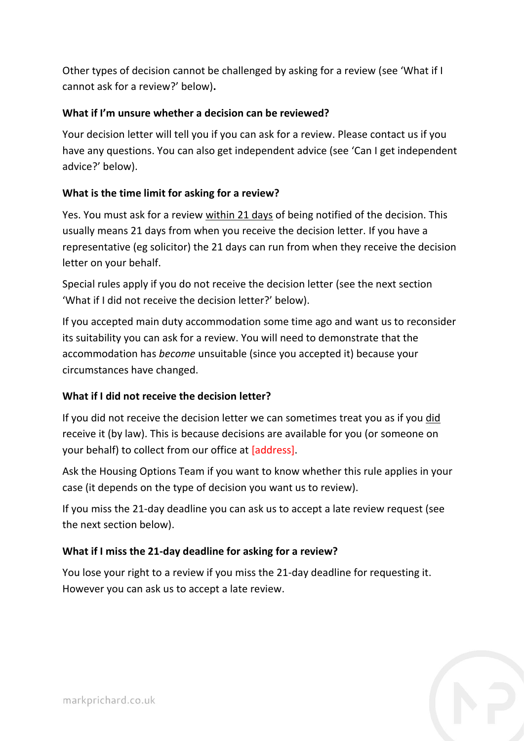Other types of decision cannot be challenged by asking for a review (see 'What if I cannot ask for a review?' below)**.**

## **What if I'm unsure whether a decision can be reviewed?**

Your decision letter will tell you if you can ask for a review. Please contact us if you have any questions. You can also get independent advice (see 'Can I get independent advice?' below).

### **What is the time limit for asking for a review?**

Yes. You must ask for a review within 21 days of being notified of the decision. This usually means 21 days from when you receive the decision letter. If you have a representative (eg solicitor) the 21 days can run from when they receive the decision letter on your behalf.

Special rules apply if you do not receive the decision letter (see the next section 'What if I did not receive the decision letter?' below).

If you accepted main duty accommodation some time ago and want us to reconsider its suitability you can ask for a review. You will need to demonstrate that the accommodation has *become* unsuitable (since you accepted it) because your circumstances have changed.

## **What if I did not receive the decision letter?**

If you did not receive the decision letter we can sometimes treat you as if you did receive it (by law). This is because decisions are available for you (or someone on your behalf) to collect from our office at [address].

Ask the Housing Options Team if you want to know whether this rule applies in your case (it depends on the type of decision you want us to review).

If you miss the 21-day deadline you can ask us to accept a late review request (see the next section below).

### **What if I miss the 21-day deadline for asking for a review?**

You lose your right to a review if you miss the 21-day deadline for requesting it. However you can ask us to accept a late review.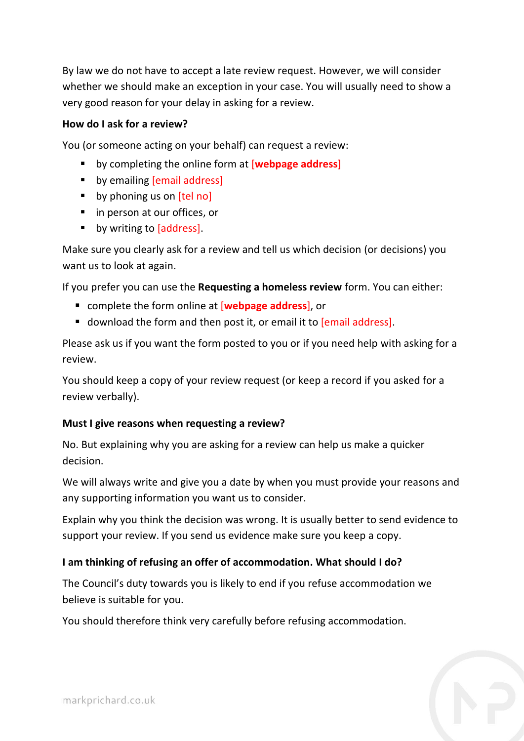By law we do not have to accept a late review request. However, we will consider whether we should make an exception in your case. You will usually need to show a very good reason for your delay in asking for a review.

### **How do I ask for a review?**

You (or someone acting on your behalf) can request a review:

- by completing the online form at [**webpage address**]
- **•** by emailing [email address]
- $\blacksquare$  by phoning us on  $\lceil$ tel no
- in person at our offices, or
- **by writing to [address]**.

Make sure you clearly ask for a review and tell us which decision (or decisions) you want us to look at again.

If you prefer you can use the **Requesting a homeless review** form. You can either:

- complete the form online at [**webpage address**], or
- **download the form and then post it, or email it to [email address].**

Please ask us if you want the form posted to you or if you need help with asking for a review.

You should keep a copy of your review request (or keep a record if you asked for a review verbally).

### **Must I give reasons when requesting a review?**

No. But explaining why you are asking for a review can help us make a quicker decision.

We will always write and give you a date by when you must provide your reasons and any supporting information you want us to consider.

Explain why you think the decision was wrong. It is usually better to send evidence to support your review. If you send us evidence make sure you keep a copy.

### **I am thinking of refusing an offer of accommodation. What should I do?**

The Council's duty towards you is likely to end if you refuse accommodation we believe is suitable for you.

You should therefore think very carefully before refusing accommodation.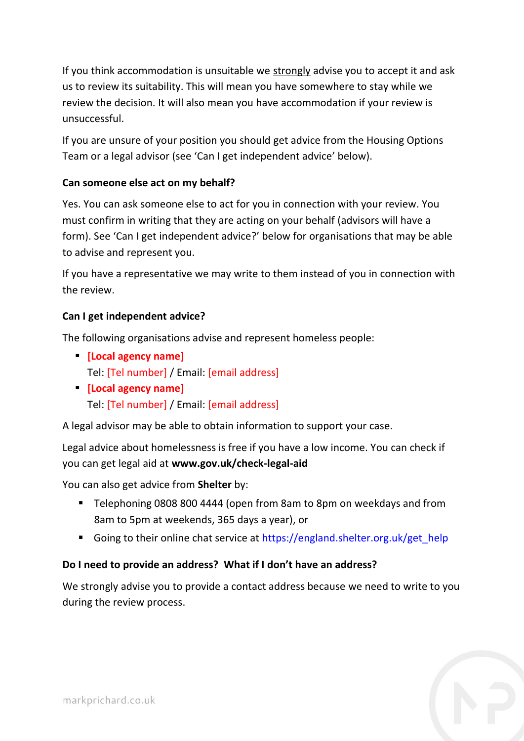If you think accommodation is unsuitable we strongly advise you to accept it and ask us to review its suitability. This will mean you have somewhere to stay while we review the decision. It will also mean you have accommodation if your review is unsuccessful.

If you are unsure of your position you should get advice from the Housing Options Team or a legal advisor (see 'Can I get independent advice' below).

## **Can someone else act on my behalf?**

Yes. You can ask someone else to act for you in connection with your review. You must confirm in writing that they are acting on your behalf (advisors will have a form). See 'Can I get independent advice?' below for organisations that may be able to advise and represent you.

If you have a representative we may write to them instead of you in connection with the review.

### **Can I get independent advice?**

The following organisations advise and represent homeless people:

- **[Local agency name]** Tel: [Tel number] / Email: [email address]
- **[Local agency name]** Tel: [Tel number] / Email: [email address]

A legal advisor may be able to obtain information to support your case.

Legal advice about homelessness is free if you have a low income. You can check if you can get legal aid at **www.gov.uk/check-legal-aid**

You can also get advice from **Shelter** by:

- Telephoning 0808 800 4444 (open from 8am to 8pm on weekdays and from 8am to 5pm at weekends, 365 days a year), or
- Going to their online chat service at [https://england.shelter.org.uk/get\\_help](https://england.shelter.org.uk/get_help)

## **Do I need to provide an address? What if I don't have an address?**

We strongly advise you to provide a contact address because we need to write to you during the review process.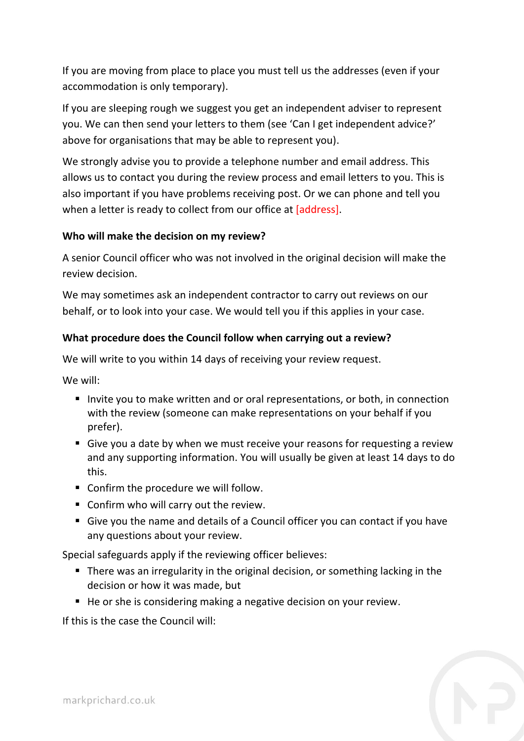If you are moving from place to place you must tell us the addresses (even if your accommodation is only temporary).

If you are sleeping rough we suggest you get an independent adviser to represent you. We can then send your letters to them (see 'Can I get independent advice?' above for organisations that may be able to represent you).

We strongly advise you to provide a telephone number and email address. This allows us to contact you during the review process and email letters to you. This is also important if you have problems receiving post. Or we can phone and tell you when a letter is ready to collect from our office at [address].

### **Who will make the decision on my review?**

A senior Council officer who was not involved in the original decision will make the review decision.

We may sometimes ask an independent contractor to carry out reviews on our behalf, or to look into your case. We would tell you if this applies in your case.

## **What procedure does the Council follow when carrying out a review?**

We will write to you within 14 days of receiving your review request.

We will:

- Invite you to make written and or oral representations, or both, in connection with the review (someone can make representations on your behalf if you prefer).
- Give you a date by when we must receive your reasons for requesting a review and any supporting information. You will usually be given at least 14 days to do this.
- Confirm the procedure we will follow.
- **Confirm who will carry out the review.**
- Give you the name and details of a Council officer you can contact if you have any questions about your review.

Special safeguards apply if the reviewing officer believes:

- There was an irregularity in the original decision, or something lacking in the decision or how it was made, but
- He or she is considering making a negative decision on your review.

If this is the case the Council will: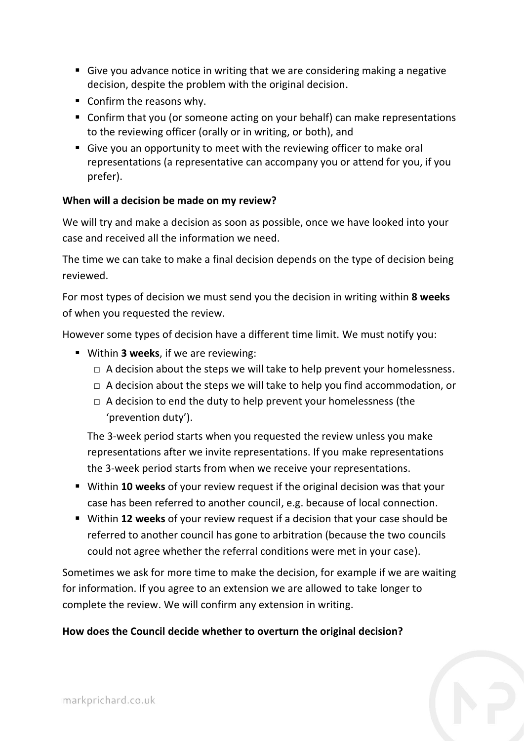- Give you advance notice in writing that we are considering making a negative decision, despite the problem with the original decision.
- Confirm the reasons why.
- Confirm that you (or someone acting on your behalf) can make representations to the reviewing officer (orally or in writing, or both), and
- Give you an opportunity to meet with the reviewing officer to make oral representations (a representative can accompany you or attend for you, if you prefer).

### **When will a decision be made on my review?**

We will try and make a decision as soon as possible, once we have looked into your case and received all the information we need.

The time we can take to make a final decision depends on the type of decision being reviewed.

For most types of decision we must send you the decision in writing within **8 weeks** of when you requested the review.

However some types of decision have a different time limit. We must notify you:

- Within **3 weeks**, if we are reviewing:
	- $\Box$  A decision about the steps we will take to help prevent your homelessness.
	- $\Box$  A decision about the steps we will take to help you find accommodation, or
	- $\Box$  A decision to end the duty to help prevent your homelessness (the 'prevention duty').

The 3-week period starts when you requested the review unless you make representations after we invite representations. If you make representations the 3-week period starts from when we receive your representations.

- Within **10 weeks** of your review request if the original decision was that your case has been referred to another council, e.g. because of local connection.
- Within **12 weeks** of your review request if a decision that your case should be referred to another council has gone to arbitration (because the two councils could not agree whether the referral conditions were met in your case).

Sometimes we ask for more time to make the decision, for example if we are waiting for information. If you agree to an extension we are allowed to take longer to complete the review. We will confirm any extension in writing.

### **How does the Council decide whether to overturn the original decision?**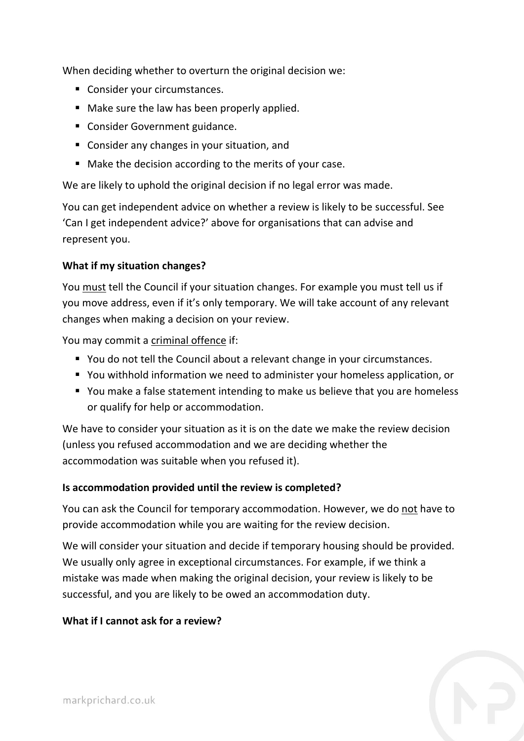When deciding whether to overturn the original decision we:

- Consider your circumstances.
- Make sure the law has been properly applied.
- **Consider Government guidance.**
- **Consider any changes in your situation, and**
- Make the decision according to the merits of your case.

We are likely to uphold the original decision if no legal error was made.

You can get independent advice on whether a review is likely to be successful. See 'Can I get independent advice?' above for organisations that can advise and represent you.

### **What if my situation changes?**

You must tell the Council if your situation changes. For example you must tell us if you move address, even if it's only temporary. We will take account of any relevant changes when making a decision on your review.

You may commit a criminal offence if:

- You do not tell the Council about a relevant change in your circumstances.
- You withhold information we need to administer your homeless application, or
- You make a false statement intending to make us believe that you are homeless or qualify for help or accommodation.

We have to consider your situation as it is on the date we make the review decision (unless you refused accommodation and we are deciding whether the accommodation was suitable when you refused it).

#### **Is accommodation provided until the review is completed?**

You can ask the Council for temporary accommodation. However, we do not have to provide accommodation while you are waiting for the review decision.

We will consider your situation and decide if temporary housing should be provided. We usually only agree in exceptional circumstances. For example, if we think a mistake was made when making the original decision, your review is likely to be successful, and you are likely to be owed an accommodation duty.

### **What if I cannot ask for a review?**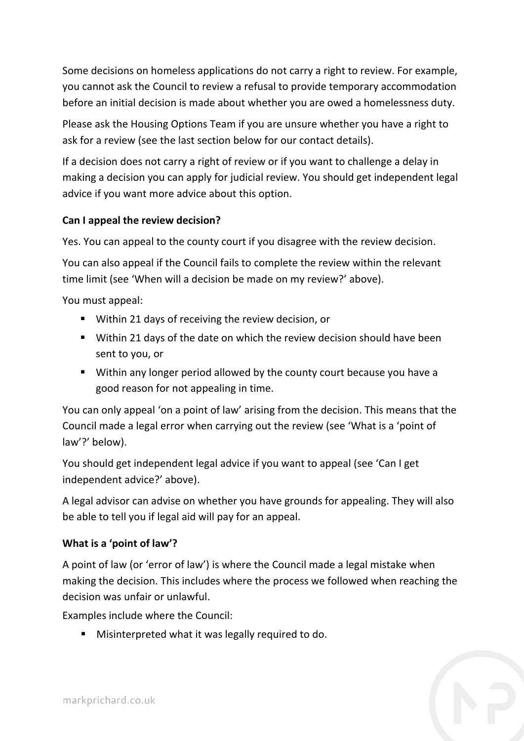Some decisions on homeless applications do not carry a right to review. For example, you cannot ask the Council to review a refusal to provide temporary accommodation before an initial decision is made about whether you are owed a homelessness duty.

Please ask the Housing Options Team if you are unsure whether you have a right to ask for a review (see the last section below for our contact details).

If a decision does not carry a right of review or if you want to challenge a delay in making a decision you can apply for judicial review. You should get independent legal advice if you want more advice about this option.

## **Can I appeal the review decision?**

Yes. You can appeal to the county court if you disagree with the review decision.

You can also appeal if the Council fails to complete the review within the relevant time limit (see 'When will a decision be made on my review?' above).

You must appeal:

- Within 21 days of receiving the review decision, or
- Within 21 days of the date on which the review decision should have been sent to you, or
- Within any longer period allowed by the county court because you have a good reason for not appealing in time.

You can only appeal 'on a point of law' arising from the decision. This means that the Council made a legal error when carrying out the review (see 'What is a 'point of law'?' below).

You should get independent legal advice if you want to appeal (see 'Can I get independent advice?' above).

A legal advisor can advise on whether you have grounds for appealing. They will also be able to tell you if legal aid will pay for an appeal.

### **What is a 'point of law'?**

A point of law (or 'error of law') is where the Council made a legal mistake when making the decision. This includes where the process we followed when reaching the decision was unfair or unlawful.

Examples include where the Council:

**Misinterpreted what it was legally required to do.**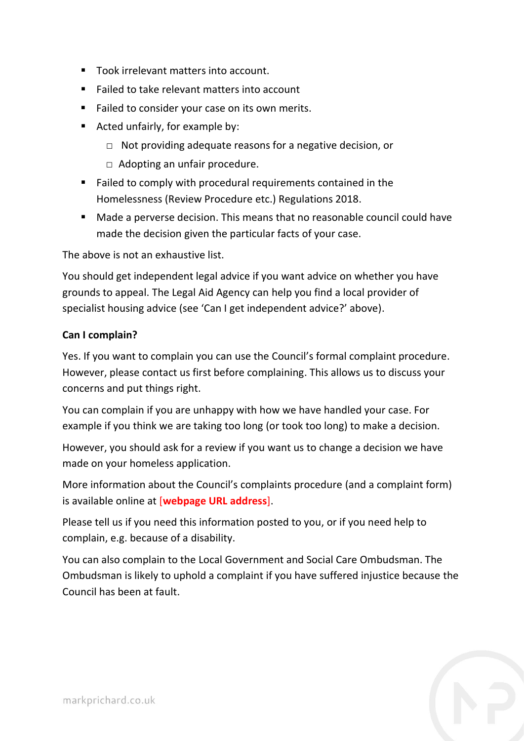- Took irrelevant matters into account.
- Failed to take relevant matters into account
- Failed to consider your case on its own merits.
- Acted unfairly, for example by:
	- □ Not providing adequate reasons for a negative decision, or
	- □ Adopting an unfair procedure.
- Failed to comply with procedural requirements contained in the Homelessness (Review Procedure etc.) Regulations 2018.
- Made a perverse decision. This means that no reasonable council could have made the decision given the particular facts of your case.

The above is not an exhaustive list.

You should get independent legal advice if you want advice on whether you have grounds to appeal. The Legal Aid Agency can help you find a local provider of specialist housing advice (see 'Can I get independent advice?' above).

### **Can I complain?**

Yes. If you want to complain you can use the Council's formal complaint procedure. However, please contact us first before complaining. This allows us to discuss your concerns and put things right.

You can complain if you are unhappy with how we have handled your case. For example if you think we are taking too long (or took too long) to make a decision.

However, you should ask for a review if you want us to change a decision we have made on your homeless application.

More information about the Council's complaints procedure (and a complaint form) is available online at [**webpage URL address**].

Please tell us if you need this information posted to you, or if you need help to complain, e.g. because of a disability.

You can also complain to the Local Government and Social Care Ombudsman. The Ombudsman is likely to uphold a complaint if you have suffered injustice because the Council has been at fault.